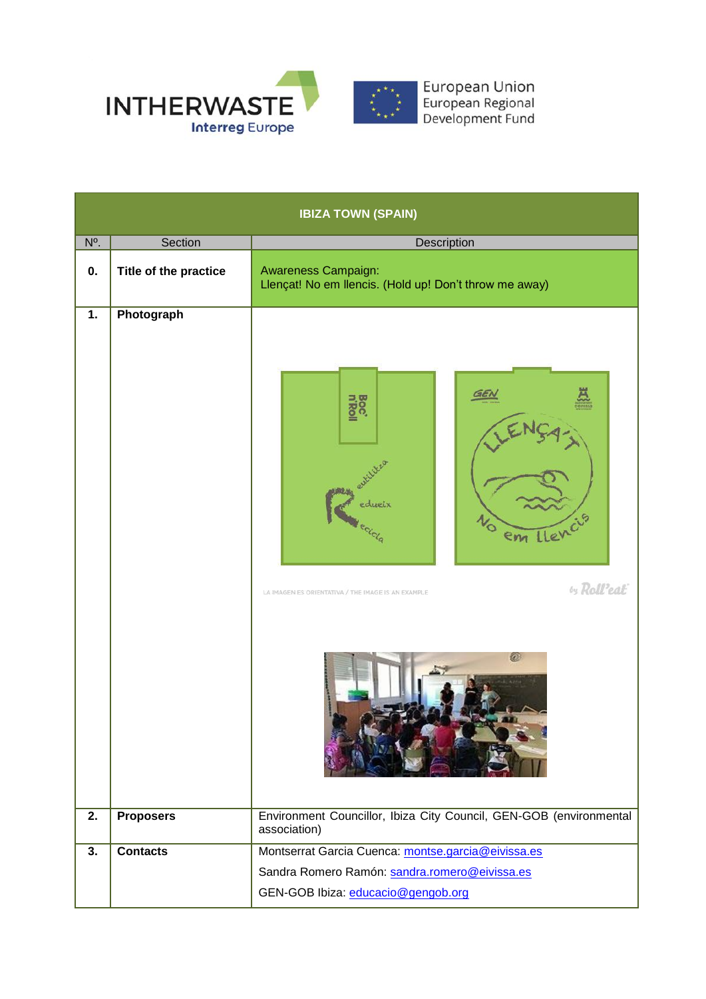

| <b>IBIZA TOWN (SPAIN)</b> |                       |                                                                                                                    |  |  |
|---------------------------|-----------------------|--------------------------------------------------------------------------------------------------------------------|--|--|
| N <sup>o</sup> .          | Section               | Description                                                                                                        |  |  |
| 0.                        | Title of the practice | <b>Awareness Campaign:</b><br>Llençat! No em llencis. (Hold up! Don't throw me away)                               |  |  |
| $\overline{1}$ .          | Photograph            | <b>Boc</b><br>edueix<br>cicla<br>em Lle<br>by Roll'eat<br>LA IMAGEN ES ORIENTATIVA / THE IMAGE IS AN EXAMPLE<br>60 |  |  |
| 2.                        | <b>Proposers</b>      | Environment Councillor, Ibiza City Council, GEN-GOB (environmental<br>association)                                 |  |  |
| 3.                        | <b>Contacts</b>       | Montserrat Garcia Cuenca: montse.garcia@eivissa.es                                                                 |  |  |
|                           |                       | Sandra Romero Ramón: sandra.romero@eivissa.es                                                                      |  |  |
|                           |                       | GEN-GOB Ibiza: educacio@gengob.org                                                                                 |  |  |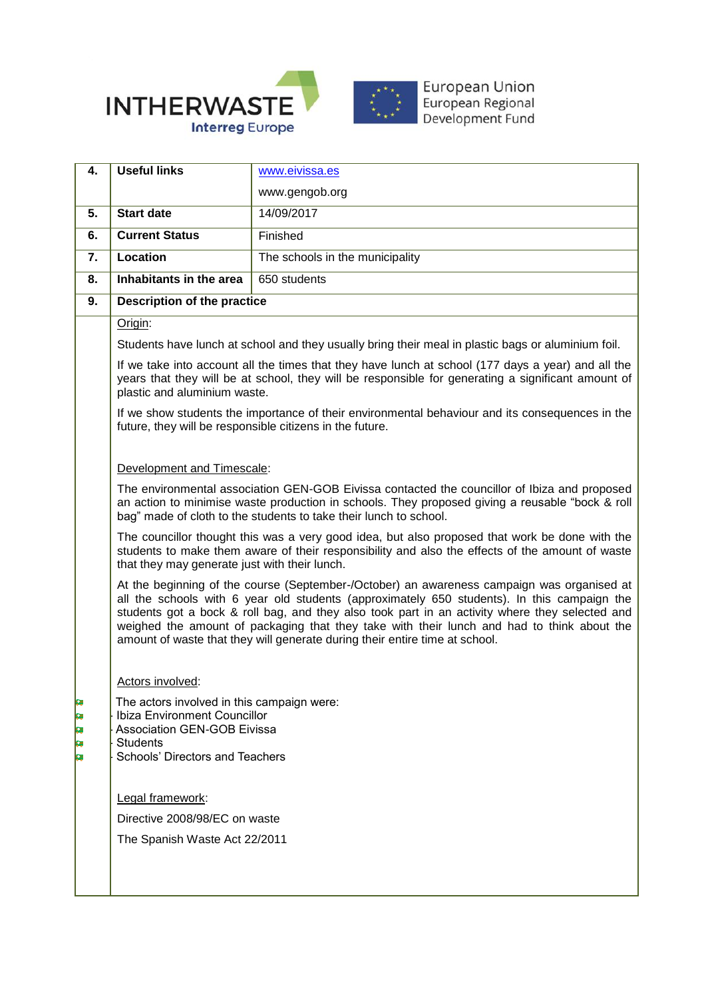

| 4.                | <b>Useful links</b>                                                                                                                                                                                                                                                                                                                                                                                                                                                      | www.eivissa.es                  |  |
|-------------------|--------------------------------------------------------------------------------------------------------------------------------------------------------------------------------------------------------------------------------------------------------------------------------------------------------------------------------------------------------------------------------------------------------------------------------------------------------------------------|---------------------------------|--|
|                   |                                                                                                                                                                                                                                                                                                                                                                                                                                                                          | www.gengob.org                  |  |
| 5.                | <b>Start date</b>                                                                                                                                                                                                                                                                                                                                                                                                                                                        | 14/09/2017                      |  |
| 6.                | <b>Current Status</b>                                                                                                                                                                                                                                                                                                                                                                                                                                                    | Finished                        |  |
| 7.                | Location                                                                                                                                                                                                                                                                                                                                                                                                                                                                 | The schools in the municipality |  |
| 8.                | Inhabitants in the area                                                                                                                                                                                                                                                                                                                                                                                                                                                  | 650 students                    |  |
| 9.                | <b>Description of the practice</b>                                                                                                                                                                                                                                                                                                                                                                                                                                       |                                 |  |
|                   | Origin:                                                                                                                                                                                                                                                                                                                                                                                                                                                                  |                                 |  |
|                   | Students have lunch at school and they usually bring their meal in plastic bags or aluminium foil.                                                                                                                                                                                                                                                                                                                                                                       |                                 |  |
|                   | If we take into account all the times that they have lunch at school (177 days a year) and all the<br>years that they will be at school, they will be responsible for generating a significant amount of<br>plastic and aluminium waste.                                                                                                                                                                                                                                 |                                 |  |
|                   | If we show students the importance of their environmental behaviour and its consequences in the<br>future, they will be responsible citizens in the future.                                                                                                                                                                                                                                                                                                              |                                 |  |
|                   | Development and Timescale:                                                                                                                                                                                                                                                                                                                                                                                                                                               |                                 |  |
|                   | The environmental association GEN-GOB Eivissa contacted the councillor of Ibiza and proposed<br>an action to minimise waste production in schools. They proposed giving a reusable "bock & roll<br>bag" made of cloth to the students to take their lunch to school.                                                                                                                                                                                                     |                                 |  |
|                   | The councillor thought this was a very good idea, but also proposed that work be done with the<br>students to make them aware of their responsibility and also the effects of the amount of waste<br>that they may generate just with their lunch.                                                                                                                                                                                                                       |                                 |  |
|                   | At the beginning of the course (September-/October) an awareness campaign was organised at<br>all the schools with 6 year old students (approximately 650 students). In this campaign the<br>students got a bock & roll bag, and they also took part in an activity where they selected and<br>weighed the amount of packaging that they take with their lunch and had to think about the<br>amount of waste that they will generate during their entire time at school. |                                 |  |
|                   | Actors involved:                                                                                                                                                                                                                                                                                                                                                                                                                                                         |                                 |  |
| F<br>P<br>P,<br>e | The actors involved in this campaign were:<br>Ibiza Environment Councillor<br><b>Association GEN-GOB Eivissa</b><br><b>Students</b><br>Schools' Directors and Teachers                                                                                                                                                                                                                                                                                                   |                                 |  |
|                   | Legal framework:                                                                                                                                                                                                                                                                                                                                                                                                                                                         |                                 |  |
|                   | Directive 2008/98/EC on waste<br>The Spanish Waste Act 22/2011                                                                                                                                                                                                                                                                                                                                                                                                           |                                 |  |
|                   |                                                                                                                                                                                                                                                                                                                                                                                                                                                                          |                                 |  |